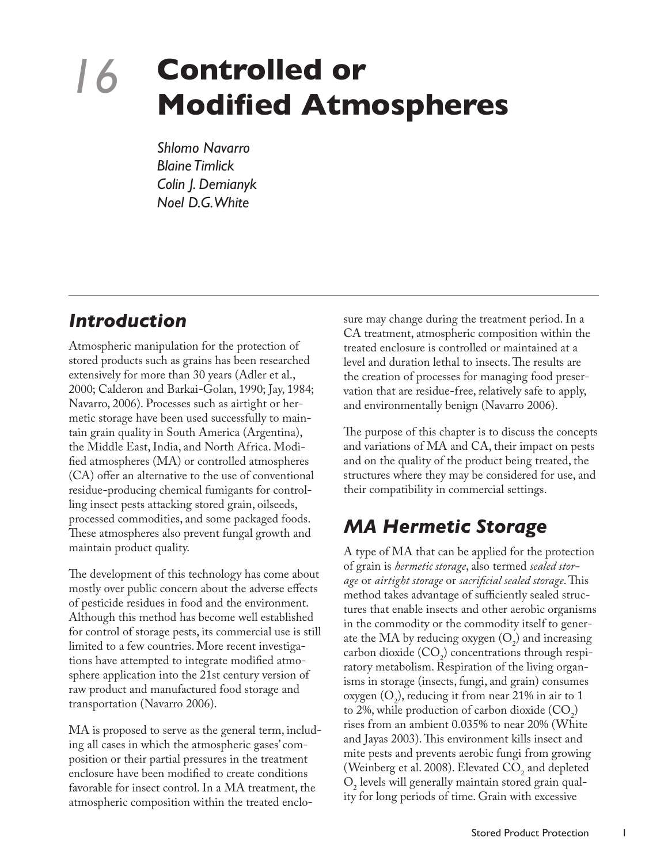# *16* **Controlled or Modified Atmospheres**

*Shlomo Navarro Blaine Timlick Colin J. Demianyk Noel D.G. White*

## *Introduction*

Atmospheric manipulation for the protection of stored products such as grains has been researched extensively for more than 30 years (Adler et al., 2000; Calderon and Barkai-Golan, 1990; Jay, 1984; Navarro, 2006). Processes such as airtight or hermetic storage have been used successfully to maintain grain quality in South America (Argentina), the Middle East, India, and North Africa. Modified atmospheres (MA) or controlled atmospheres (CA) offer an alternative to the use of conventional residue-producing chemical fumigants for controlling insect pests attacking stored grain, oilseeds, processed commodities, and some packaged foods. These atmospheres also prevent fungal growth and maintain product quality.

The development of this technology has come about mostly over public concern about the adverse effects of pesticide residues in food and the environment. Although this method has become well established for control of storage pests, its commercial use is still limited to a few countries. More recent investigations have attempted to integrate modified atmosphere application into the 21st century version of raw product and manufactured food storage and transportation (Navarro 2006).

MA is proposed to serve as the general term, including all cases in which the atmospheric gases' composition or their partial pressures in the treatment enclosure have been modified to create conditions favorable for insect control. In a MA treatment, the atmospheric composition within the treated enclosure may change during the treatment period. In a CA treatment, atmospheric composition within the treated enclosure is controlled or maintained at a level and duration lethal to insects. The results are the creation of processes for managing food preservation that are residue-free, relatively safe to apply, and environmentally benign (Navarro 2006).

The purpose of this chapter is to discuss the concepts and variations of MA and CA, their impact on pests and on the quality of the product being treated, the structures where they may be considered for use, and their compatibility in commercial settings.

# *MA Hermetic Storage*

A type of MA that can be applied for the protection of grain is *hermetic storage*, also termed *sealed storage* or *airtight storage* or *sacrificial sealed storage*. This method takes advantage of sufficiently sealed structures that enable insects and other aerobic organisms in the commodity or the commodity itself to generate the MA by reducing oxygen  $(O_2)$  and increasing carbon dioxide  $(CO_2)$  concentrations through respiratory metabolism. Respiration of the living organisms in storage (insects, fungi, and grain) consumes oxygen  $(O_2)$ , reducing it from near 21% in air to 1 to 2%, while production of carbon dioxide  $(CO_2)$ rises from an ambient 0.035% to near 20% (White and Jayas 2003). This environment kills insect and mite pests and prevents aerobic fungi from growing (Weinberg et al. 2008). Elevated  $CO_2$  and depleted  $O<sub>2</sub>$  levels will generally maintain stored grain quality for long periods of time. Grain with excessive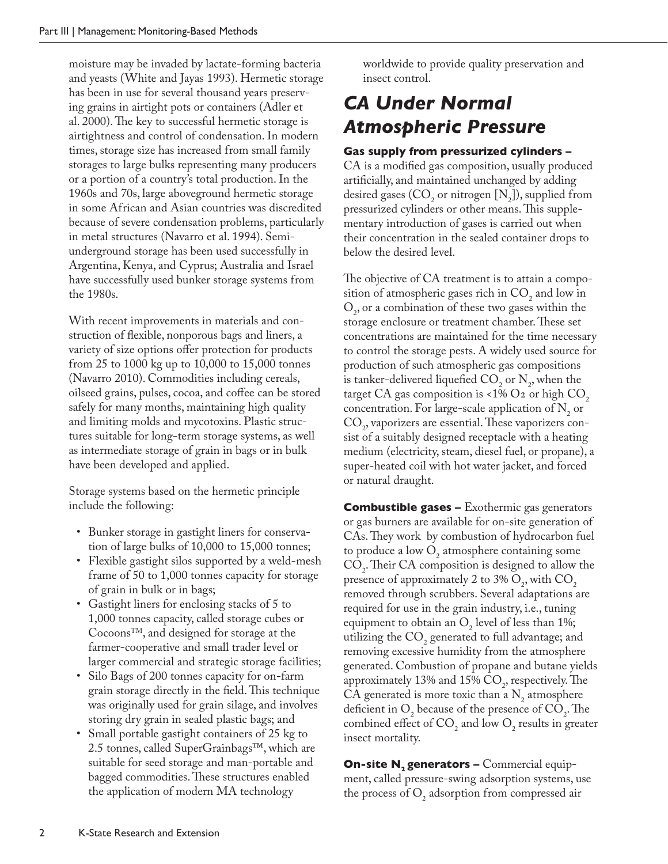moisture may be invaded by lactate-forming bacteria and yeasts (White and Jayas 1993). Hermetic storage has been in use for several thousand years preserving grains in airtight pots or containers (Adler et al. 2000). The key to successful hermetic storage is airtightness and control of condensation. In modern times, storage size has increased from small family storages to large bulks representing many producers or a portion of a country's total production. In the 1960s and 70s, large aboveground hermetic storage in some African and Asian countries was discredited because of severe condensation problems, particularly in metal structures (Navarro et al. 1994). Semiunderground storage has been used successfully in Argentina, Kenya, and Cyprus; Australia and Israel have successfully used bunker storage systems from the 1980s.

With recent improvements in materials and construction of flexible, nonporous bags and liners, a variety of size options offer protection for products from 25 to 1000 kg up to 10,000 to 15,000 tonnes (Navarro 2010). Commodities including cereals, oilseed grains, pulses, cocoa, and coffee can be stored safely for many months, maintaining high quality and limiting molds and mycotoxins. Plastic structures suitable for long-term storage systems, as well as intermediate storage of grain in bags or in bulk have been developed and applied.

Storage systems based on the hermetic principle include the following:

- • Bunker storage in gastight liners for conservation of large bulks of 10,000 to 15,000 tonnes;
- Flexible gastight silos supported by a weld-mesh frame of 50 to 1,000 tonnes capacity for storage of grain in bulk or in bags;
- • Gastight liners for enclosing stacks of 5 to 1,000 tonnes capacity, called storage cubes or Cocoons<sup>TM</sup>, and designed for storage at the farmer-cooperative and small trader level or larger commercial and strategic storage facilities;
- • Silo Bags of 200 tonnes capacity for on-farm grain storage directly in the field. This technique was originally used for grain silage, and involves storing dry grain in sealed plastic bags; and
- Small portable gastight containers of 25 kg to 2.5 tonnes, called SuperGrainbags™, which are suitable for seed storage and man-portable and bagged commodities. These structures enabled the application of modern MA technology

worldwide to provide quality preservation and insect control.

## *CA Under Normal Atmospheric Pressure*

#### **Gas supply from pressurized cylinders –**

CA is a modified gas composition, usually produced artificially, and maintained unchanged by adding desired gases (CO<sub>2</sub> or nitrogen  $[N_2]$ ), supplied from pressurized cylinders or other means. This supplementary introduction of gases is carried out when their concentration in the sealed container drops to below the desired level.

The objective of CA treatment is to attain a composition of atmospheric gases rich in  $CO_2$  and low in  $O_2$ , or a combination of these two gases within the storage enclosure or treatment chamber. These set concentrations are maintained for the time necessary to control the storage pests. A widely used source for production of such atmospheric gas compositions is tanker-delivered liquefied  $CO_2$  or  $N_2$ , when the target CA gas composition is <1% O2 or high  $CO<sub>2</sub>$ , concentration. For large-scale application of  $N_2$  or  $\text{CO}_2$ , vaporizers are essential. These vaporizers consist of a suitably designed receptacle with a heating medium (electricity, steam, diesel fuel, or propane), a super-heated coil with hot water jacket, and forced or natural draught.

**Combustible gases –** Exothermic gas generators or gas burners are available for on-site generation of CAs. They work by combustion of hydrocarbon fuel to produce a low  $O_2$  atmosphere containing some  $CO<sub>2</sub>$ . Their CA composition is designed to allow the presence of approximately 2 to 3%  $O_2$ , with  $CO_2$ removed through scrubbers. Several adaptations are required for use in the grain industry, i.e., tuning equipment to obtain an  $O_2$  level of less than 1%; utilizing the  $CO<sub>2</sub>$  generated to full advantage; and removing excessive humidity from the atmosphere generated. Combustion of propane and butane yields approximately 13% and 15%  $CO_2$ , respectively. The CA generated is more toxic than a  $N_2$  atmosphere deficient in  $O_2$  because of the presence of  $CO_2$ . The combined effect of  $CO_2$  and low  $O_2$  results in greater insect mortality.

**On-site N**, generators – Commercial equipment, called pressure-swing adsorption systems, use the process of  $O_2$  adsorption from compressed air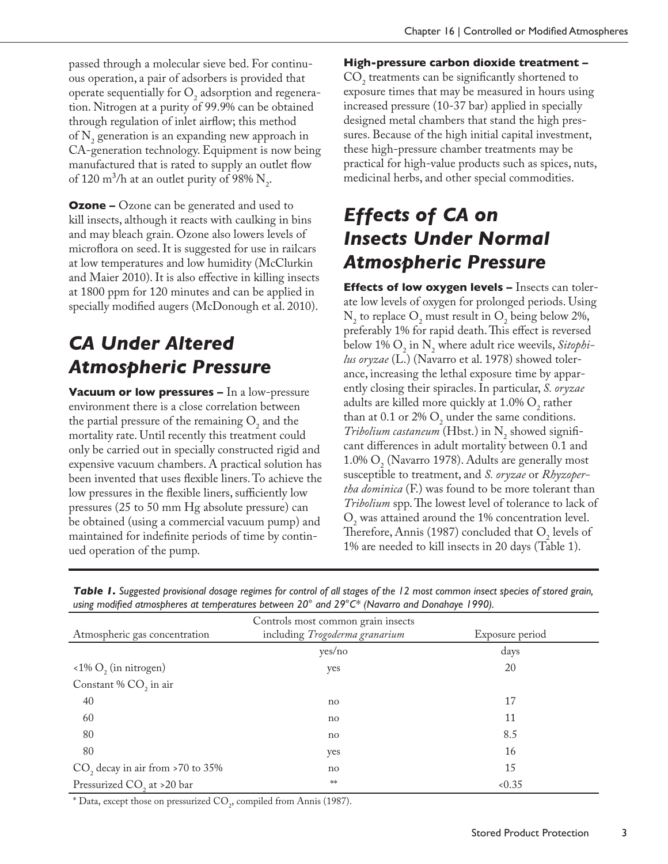passed through a molecular sieve bed. For continuous operation, a pair of adsorbers is provided that operate sequentially for  $O_2$  adsorption and regeneration. Nitrogen at a purity of 99.9% can be obtained through regulation of inlet airflow; this method of  $N_2$  generation is an expanding new approach in CA-generation technology. Equipment is now being manufactured that is rated to supply an outlet flow of 120 m<sup>3</sup>/h at an outlet purity of 98%  $N_2$ .

**Ozone –** Ozone can be generated and used to kill insects, although it reacts with caulking in bins and may bleach grain. Ozone also lowers levels of microflora on seed. It is suggested for use in railcars at low temperatures and low humidity (McClurkin and Maier 2010). It is also effective in killing insects at 1800 ppm for 120 minutes and can be applied in specially modified augers (McDonough et al. 2010).

# *CA Under Altered Atmospheric Pressure*

**Vacuum or low pressures –** In a low-pressure environment there is a close correlation between the partial pressure of the remaining  $O_2$  and the mortality rate. Until recently this treatment could only be carried out in specially constructed rigid and expensive vacuum chambers. A practical solution has been invented that uses flexible liners. To achieve the low pressures in the flexible liners, sufficiently low pressures (25 to 50 mm Hg absolute pressure) can be obtained (using a commercial vacuum pump) and maintained for indefinite periods of time by continued operation of the pump.

**High-pressure carbon dioxide treatment –**  $\text{CO}_2$  treatments can be significantly shortened to exposure times that may be measured in hours using increased pressure (10-37 bar) applied in specially designed metal chambers that stand the high pressures. Because of the high initial capital investment, these high-pressure chamber treatments may be practical for high-value products such as spices, nuts, medicinal herbs, and other special commodities.

# *Effects of CA on Insects Under Normal Atmospheric Pressure*

**Effects of low oxygen levels –** Insects can tolerate low levels of oxygen for prolonged periods. Using  $N_2$  to replace  $O_2$  must result in  $O_2$  being below 2%, preferably 1% for rapid death. This effect is reversed below 1%  $O_2$  in N<sub>2</sub> where adult rice weevils, *Sitophilus oryzae* (L.) (Navarro et al. 1978) showed tolerance, increasing the lethal exposure time by apparently closing their spiracles. In particular, *S. oryzae* adults are killed more quickly at  $1.0\%$  O<sub>2</sub> rather than at 0.1 or 2%  $O_2$  under the same conditions. *Tribolium castaneum* (Hbst.) in  $N_2$  showed significant differences in adult mortality between 0.1 and 1.0%  $O_2^{\bullet}$  (Navarro 1978). Adults are generally most susceptible to treatment, and *S. oryzae* or *Rhyzopertha dominica* (F.) was found to be more tolerant than *Tribolium* spp. The lowest level of tolerance to lack of  $O<sub>2</sub>$  was attained around the 1% concentration level. Therefore, Annis (1987) concluded that  $O_2$  levels of 1% are needed to kill insects in 20 days (Table 1).

| $\alpha$ asing modified atmospheres at temperatures between 20 and 27 C (indicatio and Domanage 1770). |                                                                      |                 |  |  |
|--------------------------------------------------------------------------------------------------------|----------------------------------------------------------------------|-----------------|--|--|
| Atmospheric gas concentration                                                                          | Controls most common grain insects<br>including Trogoderma granarium | Exposure period |  |  |
|                                                                                                        | yes/no                                                               | days            |  |  |
| $\langle$ 1% O <sub>2</sub> (in nitrogen)                                                              | yes                                                                  | 20              |  |  |
| Constant % CO <sub>2</sub> in air                                                                      |                                                                      |                 |  |  |
| 40                                                                                                     | no                                                                   | 17              |  |  |
| 60                                                                                                     | no                                                                   | 11              |  |  |
| 80                                                                                                     | no                                                                   | 8.5             |  |  |
| 80                                                                                                     | yes                                                                  | 16              |  |  |
| $CO$ , decay in air from >70 to 35%                                                                    | no                                                                   | 15              |  |  |
| Pressurized CO <sub>2</sub> at >20 bar                                                                 | a                                                                    | < 0.35          |  |  |

| Table 1. Suggested provisional dosage regimes for control of all stages of the 12 most common insect species of stored grain, |
|-------------------------------------------------------------------------------------------------------------------------------|
| using modified atmospheres at temperatures between $20^{\circ}$ and $29^{\circ}$ C* (Navarro and Donahaye 1990).              |

 $^*$  Data, except those on pressurized  $\mathrm{CO}_2$ , compiled from Annis (1987).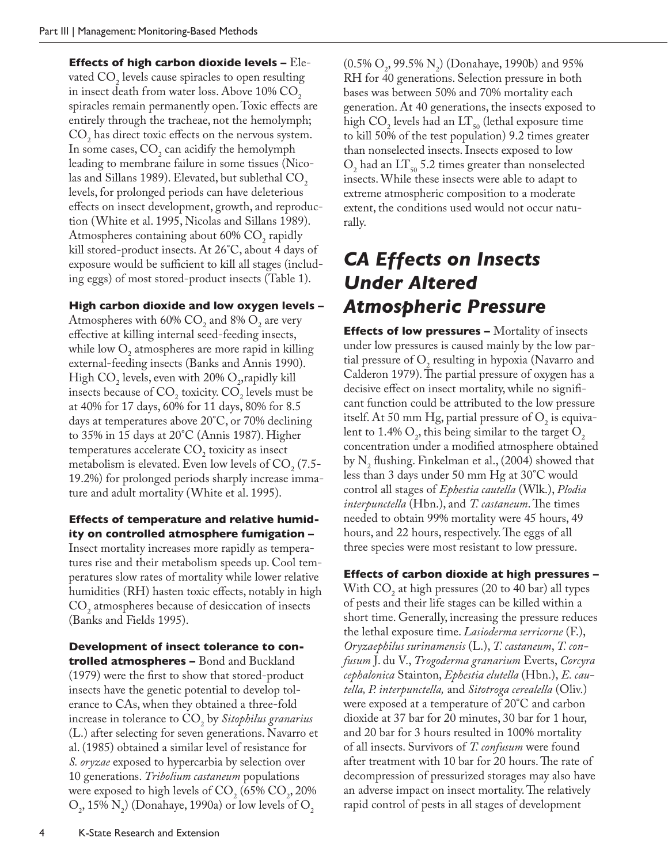**Effects of high carbon dioxide levels –** Elevated  $CO<sub>2</sub>$  levels cause spiracles to open resulting in insect death from water loss. Above  $10\%$  CO<sub>2</sub> spiracles remain permanently open. Toxic effects are entirely through the tracheae, not the hemolymph;  $CO<sub>2</sub>$  has direct toxic effects on the nervous system. In some cases,  $CO_2$  can acidify the hemolymph leading to membrane failure in some tissues (Nicolas and Sillans 1989). Elevated, but sublethal CO<sub>2</sub> levels, for prolonged periods can have deleterious effects on insect development, growth, and reproduction (White et al. 1995, Nicolas and Sillans 1989). Atmospheres containing about  $60\%$  CO<sub>2</sub> rapidly kill stored-product insects. At 26°C, about 4 days of exposure would be sufficient to kill all stages (including eggs) of most stored-product insects (Table 1).

#### **High carbon dioxide and low oxygen levels –**

Atmospheres with 60%  $CO_2$  and 8%  $O_2$  are very effective at killing internal seed-feeding insects, while low  $O_2$  atmospheres are more rapid in killing external-feeding insects (Banks and Annis 1990). High  $CO_2$  levels, even with 20%  $O_2$ , rapidly kill insects because of  $CO_2$  toxicity.  $CO_2$  levels must be at 40% for 17 days, 60% for 11 days, 80% for 8.5 days at temperatures above 20°C, or 70% declining to 35% in 15 days at 20°C (Annis 1987). Higher temperatures accelerate  $CO<sub>2</sub>$  toxicity as insect metabolism is elevated. Even low levels of  $CO<sub>2</sub>$  (7.5-19.2%) for prolonged periods sharply increase immature and adult mortality (White et al. 1995).

#### **Effects of temperature and relative humidity on controlled atmosphere fumigation –**

Insect mortality increases more rapidly as temperatures rise and their metabolism speeds up. Cool temperatures slow rates of mortality while lower relative humidities (RH) hasten toxic effects, notably in high  $\text{CO}_2$  atmospheres because of desiccation of insects (Banks and Fields 1995).

**Development of insect tolerance to controlled atmospheres –** Bond and Buckland (1979) were the first to show that stored-product insects have the genetic potential to develop tolerance to CAs, when they obtained a three-fold increase in tolerance to CO2 by *Sitophilus granarius* (L.) after selecting for seven generations. Navarro et al. (1985) obtained a similar level of resistance for *S. oryzae* exposed to hypercarbia by selection over 10 generations. *Tribolium castaneum* populations were exposed to high levels of  $CO_2$  (65%  $CO_2$ , 20%)  $\text{O}_2$ , 15%  $\text{N}_2$ ) (Donahaye, 1990a) or low levels of  $\text{O}_2$ 

 $(0.5\% \text{ O}_2, 99.5\% \text{ N}_2)$  (Donahaye, 1990b) and 95% RH for 40 generations. Selection pressure in both bases was between 50% and 70% mortality each generation. At 40 generations, the insects exposed to high  $CO<sub>2</sub>$  levels had an LT<sub>50</sub> (lethal exposure time to kill 50% of the test population) 9.2 times greater than nonselected insects. Insects exposed to low  $O_2$  had an  $LI_{50}$  5.2 times greater than nonselected insects. While these insects were able to adapt to extreme atmospheric composition to a moderate extent, the conditions used would not occur naturally.

### *CA Effects on Insects Under Altered Atmospheric Pressure*

**Effects of low pressures –** Mortality of insects under low pressures is caused mainly by the low partial pressure of  $O_2$  resulting in hypoxia (Navarro and Calderon 1979). The partial pressure of oxygen has a decisive effect on insect mortality, while no significant function could be attributed to the low pressure itself. At 50 mm Hg, partial pressure of  $O_2$  is equivalent to 1.4%  $O_2$ , this being similar to the target  $O_2$ concentration under a modified atmosphere obtained by  $N_2$  flushing. Finkelman et al., (2004) showed that less than 3 days under 50 mm Hg at 30°C would control all stages of *Ephestia cautella* (Wlk.), *Plodia interpunctella* (Hbn.), and *T. castaneum*. The times needed to obtain 99% mortality were 45 hours, 49 hours, and 22 hours, respectively. The eggs of all three species were most resistant to low pressure.

#### **Effects of carbon dioxide at high pressures –**

With  $CO<sub>2</sub>$  at high pressures (20 to 40 bar) all types of pests and their life stages can be killed within a short time. Generally, increasing the pressure reduces the lethal exposure time. *Lasioderma serricorne* (F.), *Oryzaephilus surinamensis* (L.), *T. castaneum*, *T. confusum* J. du V., *Trogoderma granarium* Everts, *Corcyra cephalonica* Stainton, *Ephestia elutella* (Hbn.), *E. cautella, P. interpunctella,* and *Sitotroga cerealella* (Oliv.) were exposed at a temperature of 20°C and carbon dioxide at 37 bar for 20 minutes, 30 bar for 1 hour, and 20 bar for 3 hours resulted in 100% mortality of all insects. Survivors of *T. confusum* were found after treatment with 10 bar for 20 hours. The rate of decompression of pressurized storages may also have an adverse impact on insect mortality. The relatively rapid control of pests in all stages of development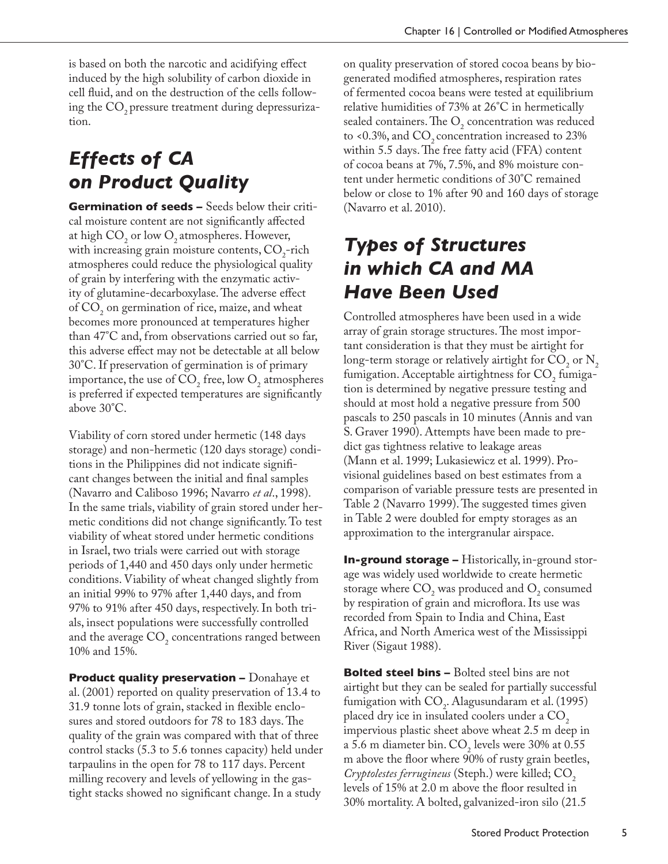is based on both the narcotic and acidifying effect induced by the high solubility of carbon dioxide in cell fluid, and on the destruction of the cells following the CO<sub>2</sub> pressure treatment during depressurization.

# *Effects of CA on Product Quality*

**Germination of seeds –** Seeds below their critical moisture content are not significantly affected at high  $CO_2$  or low  $O_2$  atmospheres. However, with increasing grain moisture contents,  $CO_2$ -rich atmospheres could reduce the physiological quality of grain by interfering with the enzymatic activity of glutamine-decarboxylase. The adverse effect of  $CO<sub>2</sub>$  on germination of rice, maize, and wheat becomes more pronounced at temperatures higher than 47°C and, from observations carried out so far, this adverse effect may not be detectable at all below 30°C. If preservation of germination is of primary importance, the use of  $CO_2$  free, low  $O_2$  atmospheres is preferred if expected temperatures are significantly above 30°C.

Viability of corn stored under hermetic (148 days storage) and non-hermetic (120 days storage) conditions in the Philippines did not indicate significant changes between the initial and final samples (Navarro and Caliboso 1996; Navarro *et al*., 1998). In the same trials, viability of grain stored under hermetic conditions did not change significantly. To test viability of wheat stored under hermetic conditions in Israel, two trials were carried out with storage periods of 1,440 and 450 days only under hermetic conditions. Viability of wheat changed slightly from an initial 99% to 97% after 1,440 days, and from 97% to 91% after 450 days, respectively. In both trials, insect populations were successfully controlled and the average  $CO<sub>2</sub>$  concentrations ranged between 10% and 15%.

**Product quality preservation –** Donahaye et al. (2001) reported on quality preservation of 13.4 to 31.9 tonne lots of grain, stacked in flexible enclosures and stored outdoors for 78 to 183 days. The quality of the grain was compared with that of three control stacks (5.3 to 5.6 tonnes capacity) held under tarpaulins in the open for 78 to 117 days. Percent milling recovery and levels of yellowing in the gastight stacks showed no significant change. In a study

on quality preservation of stored cocoa beans by biogenerated modified atmospheres, respiration rates of fermented cocoa beans were tested at equilibrium relative humidities of 73% at 26°C in hermetically sealed containers. The  $O_2$  concentration was reduced to <0.3%, and  $CO$ , concentration increased to 23% within 5.5 days. The free fatty acid (FFA) content of cocoa beans at 7%, 7.5%, and 8% moisture content under hermetic conditions of 30°C remained below or close to 1% after 90 and 160 days of storage (Navarro et al. 2010).

# *Types of Structures in which CA and MA Have Been Used*

Controlled atmospheres have been used in a wide array of grain storage structures. The most important consideration is that they must be airtight for long-term storage or relatively airtight for  $CO_2$  or  $N_2$ fumigation. Acceptable airtightness for  $\text{CO}_2$  fumigation is determined by negative pressure testing and should at most hold a negative pressure from 500 pascals to 250 pascals in 10 minutes (Annis and van S. Graver 1990). Attempts have been made to predict gas tightness relative to leakage areas (Mann et al. 1999; Lukasiewicz et al. 1999). Provisional guidelines based on best estimates from a comparison of variable pressure tests are presented in Table 2 (Navarro 1999). The suggested times given in Table 2 were doubled for empty storages as an approximation to the intergranular airspace.

**In-ground storage –** Historically, in-ground storage was widely used worldwide to create hermetic storage where  $CO_2$  was produced and  $O_2$  consumed by respiration of grain and microflora. Its use was recorded from Spain to India and China, East Africa, and North America west of the Mississippi River (Sigaut 1988).

**Bolted steel bins –** Bolted steel bins are not airtight but they can be sealed for partially successful fumigation with  $CO<sub>2</sub>$ . Alagusundaram et al. (1995) placed dry ice in insulated coolers under a CO<sub>2</sub> impervious plastic sheet above wheat 2.5 m deep in a 5.6 m diameter bin.  $CO_2$  levels were 30% at 0.55 m above the floor where 90% of rusty grain beetles, *Cryptolestes ferrugineus* (Steph.) were killed; CO<sub>2</sub> levels of 15% at 2.0 m above the floor resulted in 30% mortality. A bolted, galvanized-iron silo (21.5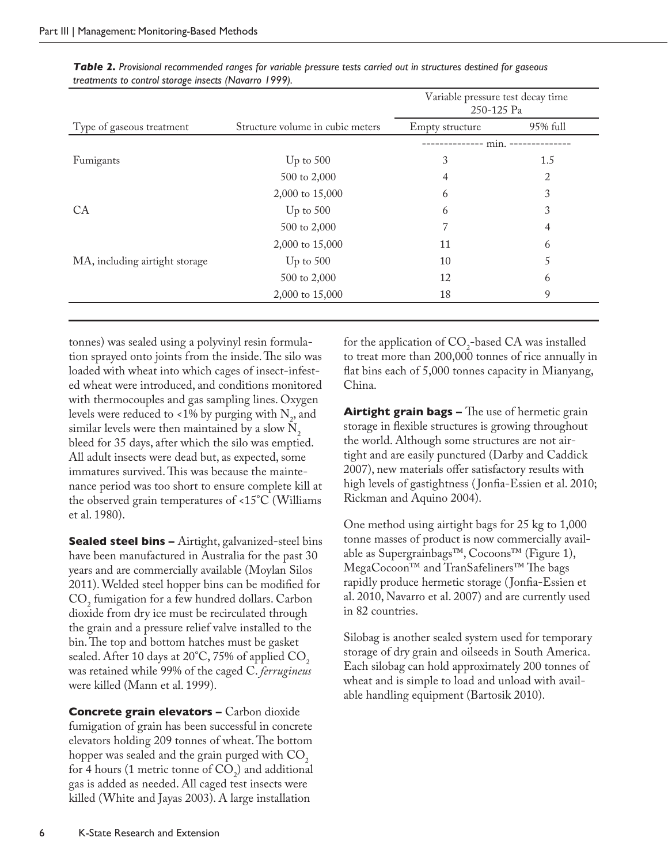| Type of gaseous treatment      | Structure volume in cubic meters | Variable pressure test decay time<br>250-125 Pa |          |
|--------------------------------|----------------------------------|-------------------------------------------------|----------|
|                                |                                  | Empty structure                                 | 95% full |
|                                |                                  | $min. -$                                        |          |
| Fumigants                      | Up to $500$                      | 3                                               | 1.5      |
|                                | 500 to 2,000                     | 4                                               | 2        |
|                                | 2,000 to 15,000                  | 6                                               | 3        |
| CA                             | Up to $500$                      | 6                                               | 3        |
|                                | 500 to 2,000                     |                                                 | 4        |
|                                | 2,000 to 15,000                  | 11                                              | 6        |
| MA, including airtight storage | Up to $500$                      | 10                                              | 5        |
|                                | 500 to 2,000                     | 12                                              | 6        |
|                                | 2,000 to 15,000                  | 18                                              | 9        |

*Table 2. Provisional recommended ranges for variable pressure tests carried out in structures destined for gaseous treatments to control storage insects (Navarro 1999).* 

tonnes) was sealed using a polyvinyl resin formulation sprayed onto joints from the inside. The silo was loaded with wheat into which cages of insect-infested wheat were introduced, and conditions monitored with thermocouples and gas sampling lines. Oxygen levels were reduced to <1% by purging with  $N_{2}$ , and similar levels were then maintained by a slow  $N_2$ bleed for 35 days, after which the silo was emptied. All adult insects were dead but, as expected, some immatures survived. This was because the maintenance period was too short to ensure complete kill at the observed grain temperatures of <15°C (Williams et al. 1980).

**Sealed steel bins –** Airtight, galvanized-steel bins have been manufactured in Australia for the past 30 years and are commercially available (Moylan Silos 2011). Welded steel hopper bins can be modified for  $CO<sub>2</sub>$  fumigation for a few hundred dollars. Carbon dioxide from dry ice must be recirculated through the grain and a pressure relief valve installed to the bin. The top and bottom hatches must be gasket sealed. After 10 days at  $20^{\circ}$ C, 75% of applied CO<sub>2</sub> was retained while 99% of the caged C. *ferrugineus* were killed (Mann et al. 1999).

**Concrete grain elevators –** Carbon dioxide fumigation of grain has been successful in concrete elevators holding 209 tonnes of wheat. The bottom hopper was sealed and the grain purged with  $CO<sub>2</sub>$ for 4 hours (1 metric tonne of  $CO_2$ ) and additional gas is added as needed. All caged test insects were killed (White and Jayas 2003). A large installation

for the application of  $CO<sub>2</sub>$ -based CA was installed to treat more than 200,000 tonnes of rice annually in flat bins each of 5,000 tonnes capacity in Mianyang, China.

**Airtight grain bags –** The use of hermetic grain storage in flexible structures is growing throughout the world. Although some structures are not airtight and are easily punctured (Darby and Caddick 2007), new materials offer satisfactory results with high levels of gastightness ( Jonfia-Essien et al. 2010; Rickman and Aquino 2004).

One method using airtight bags for 25 kg to 1,000 tonne masses of product is now commercially available as Supergrainbags™, Cocoons™ (Figure 1), MegaCocoon™ and TranSafeliners™ The bags rapidly produce hermetic storage ( Jonfia-Essien et al. 2010, Navarro et al. 2007) and are currently used in 82 countries.

Silobag is another sealed system used for temporary storage of dry grain and oilseeds in South America. Each silobag can hold approximately 200 tonnes of wheat and is simple to load and unload with available handling equipment (Bartosik 2010).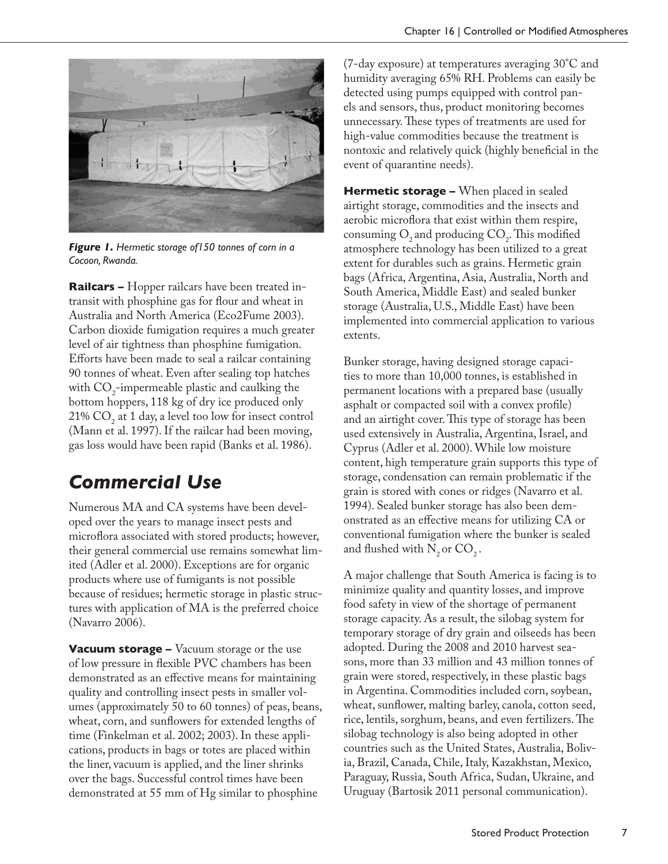

*Figure 1. Hermetic storage of150 tonnes of corn in a Cocoon, Rwanda.*

**Railcars –** Hopper railcars have been treated intransit with phosphine gas for flour and wheat in Australia and North America (Eco2Fume 2003). Carbon dioxide fumigation requires a much greater level of air tightness than phosphine fumigation. Efforts have been made to seal a railcar containing 90 tonnes of wheat. Even after sealing top hatches with  $CO_2$ -impermeable plastic and caulking the bottom hoppers, 118 kg of dry ice produced only 21%  $CO<sub>2</sub>$  at 1 day, a level too low for insect control (Mann et al. 1997). If the railcar had been moving, gas loss would have been rapid (Banks et al. 1986).

## *Commercial Use*

Numerous MA and CA systems have been developed over the years to manage insect pests and microflora associated with stored products; however, their general commercial use remains somewhat limited (Adler et al. 2000). Exceptions are for organic products where use of fumigants is not possible because of residues; hermetic storage in plastic structures with application of MA is the preferred choice (Navarro 2006).

**Vacuum storage –** Vacuum storage or the use of low pressure in flexible PVC chambers has been demonstrated as an effective means for maintaining quality and controlling insect pests in smaller volumes (approximately 50 to 60 tonnes) of peas, beans, wheat, corn, and sunflowers for extended lengths of time (Finkelman et al. 2002; 2003). In these applications, products in bags or totes are placed within the liner, vacuum is applied, and the liner shrinks over the bags. Successful control times have been demonstrated at 55 mm of Hg similar to phosphine

(7-day exposure) at temperatures averaging 30°C and humidity averaging 65% RH. Problems can easily be detected using pumps equipped with control panels and sensors, thus, product monitoring becomes unnecessary. These types of treatments are used for high-value commodities because the treatment is nontoxic and relatively quick (highly beneficial in the event of quarantine needs).

**Hermetic storage –** When placed in sealed airtight storage, commodities and the insects and aerobic microflora that exist within them respire, consuming  $O_2$  and producing  $CO_2$ . This modified atmosphere technology has been utilized to a great extent for durables such as grains. Hermetic grain bags (Africa, Argentina, Asia, Australia, North and South America, Middle East) and sealed bunker storage (Australia, U.S., Middle East) have been implemented into commercial application to various extents.

Bunker storage, having designed storage capacities to more than 10,000 tonnes, is established in permanent locations with a prepared base (usually asphalt or compacted soil with a convex profile) and an airtight cover. This type of storage has been used extensively in Australia, Argentina, Israel, and Cyprus (Adler et al. 2000). While low moisture content, high temperature grain supports this type of storage, condensation can remain problematic if the grain is stored with cones or ridges (Navarro et al. 1994). Sealed bunker storage has also been demonstrated as an effective means for utilizing CA or conventional fumigation where the bunker is sealed and flushed with  $N_2$  or  $CO_2$ .

A major challenge that South America is facing is to minimize quality and quantity losses, and improve food safety in view of the shortage of permanent storage capacity. As a result, the silobag system for temporary storage of dry grain and oilseeds has been adopted. During the 2008 and 2010 harvest seasons, more than 33 million and 43 million tonnes of grain were stored, respectively, in these plastic bags in Argentina. Commodities included corn, soybean, wheat, sunflower, malting barley, canola, cotton seed, rice, lentils, sorghum, beans, and even fertilizers. The silobag technology is also being adopted in other countries such as the United States, Australia, Bolivia, Brazil, Canada, Chile, Italy, Kazakhstan, Mexico, Paraguay, Russia, South Africa, Sudan, Ukraine, and Uruguay (Bartosik 2011 personal communication).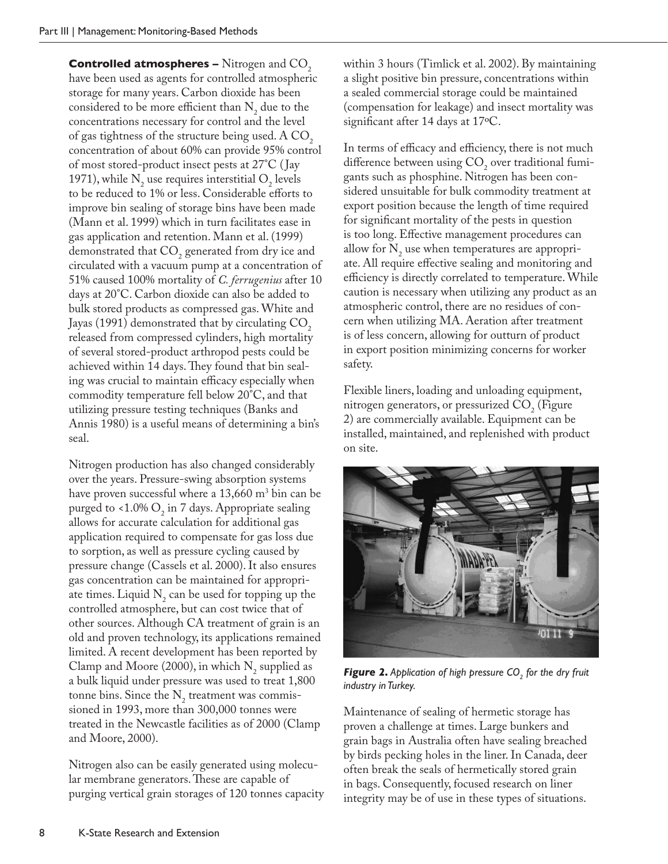**Controlled atmospheres –** Nitrogen and CO<sub>2</sub> have been used as agents for controlled atmospheric storage for many years. Carbon dioxide has been considered to be more efficient than  $N_2$  due to the concentrations necessary for control and the level of gas tightness of the structure being used. A  $CO<sub>2</sub>$ concentration of about 60% can provide 95% control of most stored-product insect pests at 27°C ( Jay 1971), while  $N_2$  use requires interstitial  $O_2$  levels to be reduced to 1% or less. Considerable efforts to improve bin sealing of storage bins have been made (Mann et al. 1999) which in turn facilitates ease in gas application and retention. Mann et al. (1999) demonstrated that  $CO_2$  generated from dry ice and circulated with a vacuum pump at a concentration of 51% caused 100% mortality of *C. ferrugenius* after 10 days at 20°C. Carbon dioxide can also be added to bulk stored products as compressed gas. White and Jayas (1991) demonstrated that by circulating  $CO<sub>2</sub>$ released from compressed cylinders, high mortality of several stored-product arthropod pests could be achieved within 14 days. They found that bin sealing was crucial to maintain efficacy especially when commodity temperature fell below 20°C, and that utilizing pressure testing techniques (Banks and Annis 1980) is a useful means of determining a bin's seal.

Nitrogen production has also changed considerably over the years. Pressure-swing absorption systems have proven successful where a 13,660 m<sup>3</sup> bin can be purged to <1.0%  $O_2$  in 7 days. Appropriate sealing allows for accurate calculation for additional gas application required to compensate for gas loss due to sorption, as well as pressure cycling caused by pressure change (Cassels et al. 2000). It also ensures gas concentration can be maintained for appropriate times. Liquid  $N_2$  can be used for topping up the controlled atmosphere, but can cost twice that of other sources. Although CA treatment of grain is an old and proven technology, its applications remained limited. A recent development has been reported by Clamp and Moore (2000), in which  $N_2$  supplied as a bulk liquid under pressure was used to treat 1,800 tonne bins. Since the  $N_2$  treatment was commissioned in 1993, more than 300,000 tonnes were treated in the Newcastle facilities as of 2000 (Clamp and Moore, 2000).

Nitrogen also can be easily generated using molecular membrane generators. These are capable of purging vertical grain storages of 120 tonnes capacity within 3 hours (Timlick et al. 2002). By maintaining a slight positive bin pressure, concentrations within a sealed commercial storage could be maintained (compensation for leakage) and insect mortality was significant after 14 days at 17ºC.

In terms of efficacy and efficiency, there is not much difference between using  $CO<sub>2</sub>$  over traditional fumigants such as phosphine. Nitrogen has been considered unsuitable for bulk commodity treatment at export position because the length of time required for significant mortality of the pests in question is too long. Effective management procedures can allow for  $N_2$  use when temperatures are appropriate. All require effective sealing and monitoring and efficiency is directly correlated to temperature. While caution is necessary when utilizing any product as an atmospheric control, there are no residues of concern when utilizing MA. Aeration after treatment is of less concern, allowing for outturn of product in export position minimizing concerns for worker safety.

Flexible liners, loading and unloading equipment, nitrogen generators, or pressurized  $CO<sub>2</sub>$  (Figure 2) are commercially available. Equipment can be installed, maintained, and replenished with product on site.



**Figure 2.** Application of high pressure CO<sub>2</sub> for the dry fruit *industry in Turkey.*

Maintenance of sealing of hermetic storage has proven a challenge at times. Large bunkers and grain bags in Australia often have sealing breached by birds pecking holes in the liner. In Canada, deer often break the seals of hermetically stored grain in bags. Consequently, focused research on liner integrity may be of use in these types of situations.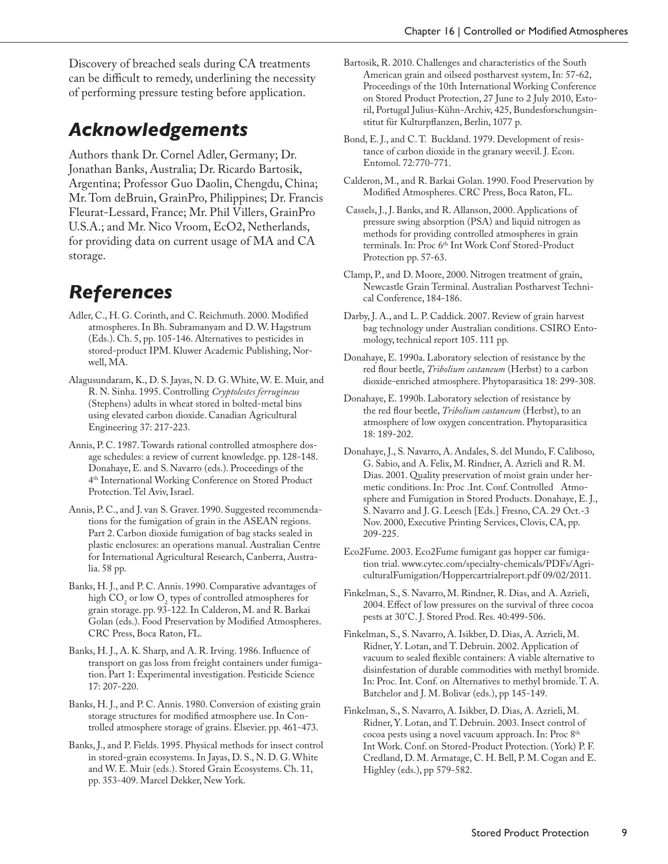Discovery of breached seals during CA treatments can be difficult to remedy, underlining the necessity of performing pressure testing before application.

### *Acknowledgements*

Authors thank Dr. Cornel Adler, Germany; Dr. Jonathan Banks, Australia; Dr. Ricardo Bartosik, Argentina; Professor Guo Daolin, Chengdu, China; Mr. Tom deBruin, GrainPro, Philippines; Dr. Francis Fleurat-Lessard, France; Mr. Phil Villers, GrainPro U.S.A.; and Mr. Nico Vroom, EcO2, Netherlands, for providing data on current usage of MA and CA storage.

### *References*

- Adler, C., H. G. Corinth, and C. Reichmuth. 2000. Modified atmospheres. In Bh. Subramanyam and D. W. Hagstrum (Eds.). Ch. 5, pp. 105-146. Alternatives to pesticides in stored-product IPM. Kluwer Academic Publishing, Norwell, MA.
- Alagusundaram, K., D. S. Jayas, N. D. G. White, W. E. Muir, and R. N. Sinha. 1995. Controlling *Cryptolestes ferrugineus* (Stephens) adults in wheat stored in bolted-metal bins using elevated carbon dioxide. Canadian Agricultural Engineering 37: 217-223.
- Annis, P. C. 1987. Towards rational controlled atmosphere dosage schedules: a review of current knowledge. pp. 128-148. Donahaye, E. and S. Navarro (eds.). Proceedings of the 4th International Working Conference on Stored Product Protection. Tel Aviv, Israel.
- Annis, P. C., and J. van S. Graver. 1990. Suggested recommendations for the fumigation of grain in the ASEAN regions. Part 2. Carbon dioxide fumigation of bag stacks sealed in plastic enclosures: an operations manual. Australian Centre for International Agricultural Research, Canberra, Australia. 58 pp.
- Banks, H. J., and P. C. Annis. 1990. Comparative advantages of high  $CO_2$  or low  $O_2$  types of controlled atmospheres for grain storage. pp. 93-122. In Calderon, M. and R. Barkai Golan (eds.). Food Preservation by Modified Atmospheres. CRC Press, Boca Raton, FL.
- Banks, H. J., A. K. Sharp, and A. R. Irving. 1986. Influence of transport on gas loss from freight containers under fumigation. Part 1: Experimental investigation. Pesticide Science 17: 207-220.
- Banks, H. J., and P. C. Annis. 1980. Conversion of existing grain storage structures for modified atmosphere use. In Controlled atmosphere storage of grains. Elsevier. pp. 461-473.
- Banks, J., and P. Fields. 1995. Physical methods for insect control in stored-grain ecosystems. In Jayas, D. S., N. D. G. White and W. E. Muir (eds.). Stored Grain Ecosystems. Ch. 11, pp. 353-409. Marcel Dekker, New York.
- Bartosik, R. 2010. Challenges and characteristics of the South American grain and oilseed postharvest system, In: 57-62, Proceedings of the 10th International Working Conference on Stored Product Protection, 27 June to 2 July 2010, Estoril, Portugal Julius-Kühn-Archiv, 425, Bundesforschungsinstitut für Kulturpflanzen, Berlin, 1077 p.
- Bond, E. J., and C. T. Buckland. 1979. Development of resistance of carbon dioxide in the granary weevil. J. Econ. Entomol. 72:770-771.
- Calderon, M., and R. Barkai Golan. 1990. Food Preservation by Modified Atmospheres. CRC Press, Boca Raton, FL.
- Cassels, J., J. Banks, and R. Allanson, 2000. Applications of pressure swing absorption (PSA) and liquid nitrogen as methods for providing controlled atmospheres in grain terminals. In: Proc 6<sup>th</sup> Int Work Conf Stored-Product Protection pp. 57-63.
- Clamp, P., and D. Moore, 2000. Nitrogen treatment of grain, Newcastle Grain Terminal. Australian Postharvest Technical Conference, 184-186.
- Darby, J. A., and L. P. Caddick. 2007. Review of grain harvest bag technology under Australian conditions. CSIRO Entomology, technical report 105. 111 pp.
- Donahaye, E. 1990a. Laboratory selection of resistance by the red flour beetle, *Tribolium castaneum* (Herbst) to a carbon dioxide-enriched atmosphere. Phytoparasitica 18: 299-308.
- Donahaye, E. 1990b. Laboratory selection of resistance by the red flour beetle, *Tribolium castaneum* (Herbst), to an atmosphere of low oxygen concentration. Phytoparasitica 18: 189-202.
- Donahaye, J., S. Navarro, A. Andales, S. del Mundo, F. Caliboso, G. Sabio, and A. Felix, M. Rindner, A. Azrieli and R. M. Dias. 2001. Quality preservation of moist grain under hermetic conditions. In: Proc .Int. Conf. Controlled Atmosphere and Fumigation in Stored Products. Donahaye, E. J., S. Navarro and J. G. Leesch [Eds.] Fresno, CA. 29 Oct.-3 Nov. 2000, Executive Printing Services, Clovis, CA, pp. 209-225.
- Eco2Fume. 2003. Eco2Fume fumigant gas hopper car fumigation trial. www.cytec.com/specialty-chemicals/PDFs/AgriculturalFumigation/Hoppercartrialreport.pdf 09/02/2011.
- Finkelman, S., S. Navarro, M. Rindner, R. Dias, and A. Azrieli, 2004. Effect of low pressures on the survival of three cocoa pests at 30°C. J. Stored Prod. Res. 40:499-506.
- Finkelman, S., S. Navarro, A. Isikber, D. Dias, A. Azrieli, M. Ridner, Y. Lotan, and T. Debruin. 2002. Application of vacuum to sealed flexible containers: A viable alternative to disinfestation of durable commodities with methyl bromide. In: Proc. Int. Conf. on Alternatives to methyl bromide. T. A. Batchelor and J. M. Bolivar (eds.), pp 145-149.
- Finkelman, S., S. Navarro, A. Isikber, D. Dias, A. Azrieli, M. Ridner, Y. Lotan, and T. Debruin. 2003. Insect control of cocoa pests using a novel vacuum approach. In: Proc 8th Int Work. Conf. on Stored-Product Protection. (York) P. F. Credland, D. M. Armatage, C. H. Bell, P. M. Cogan and E. Highley (eds.), pp 579-582.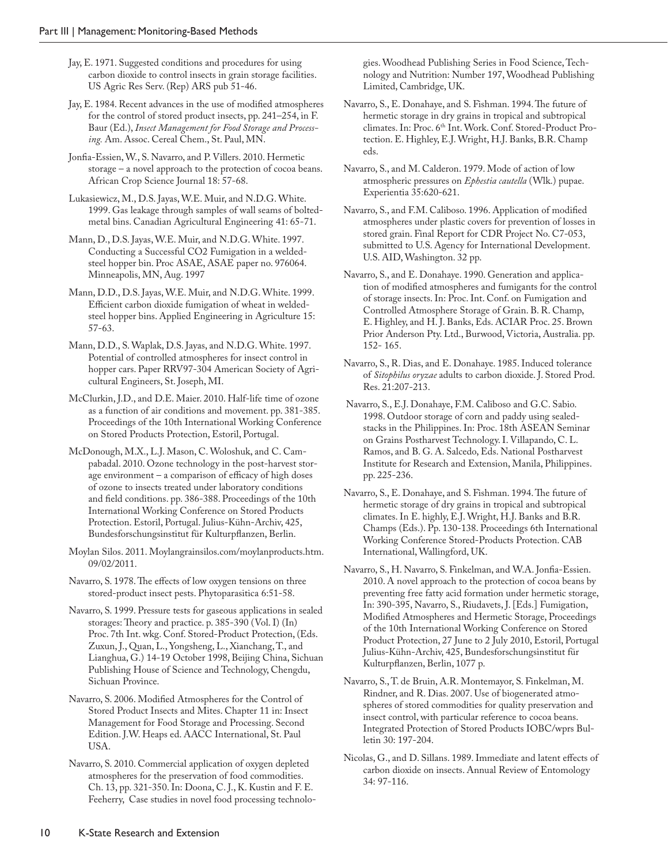- Jay, E. 1971. Suggested conditions and procedures for using carbon dioxide to control insects in grain storage facilities. US Agric Res Serv. (Rep) ARS pub 51-46.
- Jay, E. 1984. Recent advances in the use of modified atmospheres for the control of stored product insects, pp. 241–254, in F. Baur (Ed.), *Insect Management for Food Storage and Processing.* Am. Assoc. Cereal Chem., St. Paul, MN.
- Jonfia-Essien, W., S. Navarro, and P. Villers. 2010. Hermetic storage – a novel approach to the protection of cocoa beans. African Crop Science Journal 18: 57-68.
- Lukasiewicz, M., D.S. Jayas, W.E. Muir, and N.D.G. White. 1999. Gas leakage through samples of wall seams of boltedmetal bins. Canadian Agricultural Engineering 41: 65-71.
- Mann, D., D.S. Jayas, W.E. Muir, and N.D.G. White. 1997. Conducting a Successful CO2 Fumigation in a weldedsteel hopper bin. Proc ASAE, ASAE paper no. 976064. Minneapolis, MN, Aug. 1997
- Mann, D.D., D.S. Jayas, W.E. Muir, and N.D.G. White. 1999. Efficient carbon dioxide fumigation of wheat in weldedsteel hopper bins. Applied Engineering in Agriculture 15: 57-63.
- Mann, D.D., S. Waplak, D.S. Jayas, and N.D.G. White. 1997. Potential of controlled atmospheres for insect control in hopper cars. Paper RRV97-304 American Society of Agricultural Engineers, St. Joseph, MI.
- McClurkin, J.D., and D.E. Maier. 2010. Half-life time of ozone as a function of air conditions and movement. pp. 381-385. Proceedings of the 10th International Working Conference on Stored Products Protection, Estoril, Portugal.
- McDonough, M.X., L.J. Mason, C. Woloshuk, and C. Campabadal. 2010. Ozone technology in the post-harvest storage environment – a comparison of efficacy of high doses of ozone to insects treated under laboratory conditions and field conditions. pp. 386-388. Proceedings of the 10th International Working Conference on Stored Products Protection. Estoril, Portugal. Julius-Kühn-Archiv, 425, Bundesforschungsinstitut für Kulturpflanzen, Berlin.
- Moylan Silos. 2011. Moylangrainsilos.com/moylanproducts.htm. 09/02/2011.
- Navarro, S. 1978. The effects of low oxygen tensions on three stored-product insect pests. Phytoparasitica 6:51-58.
- Navarro, S. 1999. Pressure tests for gaseous applications in sealed storages: Theory and practice. p. 385-390 (Vol. I) (In) Proc. 7th Int. wkg. Conf. Stored-Product Protection, (Eds. Zuxun, J., Quan, L., Yongsheng, L., Xianchang, T., and Lianghua, G.) 14-19 October 1998, Beijing China, Sichuan Publishing House of Science and Technology, Chengdu, Sichuan Province.
- Navarro, S. 2006. Modified Atmospheres for the Control of Stored Product Insects and Mites. Chapter 11 in: Insect Management for Food Storage and Processing. Second Edition. J.W. Heaps ed. AACC International, St. Paul USA.
- Navarro, S. 2010. Commercial application of oxygen depleted atmospheres for the preservation of food commodities. Ch. 13, pp. 321-350. In: Doona, C. J., K. Kustin and F. E. Feeherry, Case studies in novel food processing technolo-

gies. Woodhead Publishing Series in Food Science, Technology and Nutrition: Number 197, Woodhead Publishing Limited, Cambridge, UK.

- Navarro, S., E. Donahaye, and S. Fishman. 1994. The future of hermetic storage in dry grains in tropical and subtropical climates. In: Proc. 6<sup>th</sup> Int. Work. Conf. Stored-Product Protection. E. Highley, E.J. Wright, H.J. Banks, B.R. Champ eds.
- Navarro, S., and M. Calderon. 1979. Mode of action of low atmospheric pressures on *Ephestia cautella* (Wlk.) pupae. Experientia 35:620-621.
- Navarro, S., and F.M. Caliboso. 1996. Application of modified atmospheres under plastic covers for prevention of losses in stored grain. Final Report for CDR Project No. C7-053, submitted to U.S. Agency for International Development. U.S. AID, Washington. 32 pp.
- Navarro, S., and E. Donahaye. 1990. Generation and application of modified atmospheres and fumigants for the control of storage insects. In: Proc. Int. Conf. on Fumigation and Controlled Atmosphere Storage of Grain. B. R. Champ, E. Highley, and H. J. Banks, Eds. ACIAR Proc. 25. Brown Prior Anderson Pty. Ltd., Burwood, Victoria, Australia. pp. 152- 165.
- Navarro, S., R. Dias, and E. Donahaye. 1985. Induced tolerance of *Sitophilus oryzae* adults to carbon dioxide. J. Stored Prod. Res. 21:207-213.
- Navarro, S., E.J. Donahaye, F.M. Caliboso and G.C. Sabio. 1998. Outdoor storage of corn and paddy using sealedstacks in the Philippines. In: Proc. 18th ASEAN Seminar on Grains Postharvest Technology. I. Villapando, C. L. Ramos, and B. G. A. Salcedo, Eds. National Postharvest Institute for Research and Extension, Manila, Philippines. pp. 225-236.
- Navarro, S., E. Donahaye, and S. Fishman. 1994. The future of hermetic storage of dry grains in tropical and subtropical climates. In E. highly, E.J. Wright, H.J. Banks and B.R. Champs (Eds.). Pp. 130-138. Proceedings 6th International Working Conference Stored-Products Protection. CAB International, Wallingford, UK.
- Navarro, S., H. Navarro, S. Finkelman, and W.A. Jonfia-Essien. 2010. A novel approach to the protection of cocoa beans by preventing free fatty acid formation under hermetic storage, In: 390-395, Navarro, S., Riudavets, J. [Eds.] Fumigation, Modified Atmospheres and Hermetic Storage, Proceedings of the 10th International Working Conference on Stored Product Protection, 27 June to 2 July 2010, Estoril, Portugal Julius-Kühn-Archiv, 425, Bundesforschungsinstitut für Kulturpflanzen, Berlin, 1077 p.
- Navarro, S., T. de Bruin, A.R. Montemayor, S. Finkelman, M. Rindner, and R. Dias. 2007. Use of biogenerated atmospheres of stored commodities for quality preservation and insect control, with particular reference to cocoa beans. Integrated Protection of Stored Products IOBC/wprs Bulletin 30: 197-204.
- Nicolas, G., and D. Sillans. 1989. Immediate and latent effects of carbon dioxide on insects. Annual Review of Entomology 34: 97-116.